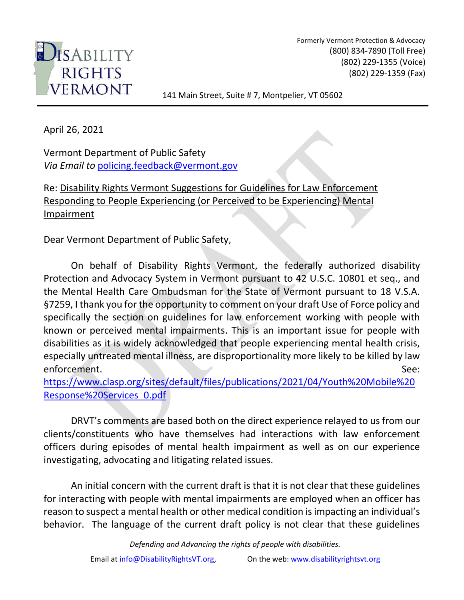

Formerly Vermont Protection & Advocacy (800) 834-7890 (Toll Free) (802) 229-1355 (Voice) (802) 229-1359 (Fax)

141 Main Street, Suite # 7, Montpelier, VT 05602

April 26, 2021

Vermont Department of Public Safety *Via Email to* [policing.feedback@vermont.gov](mailto:policing.feedback@vermont.gov)

Re: Disability Rights Vermont Suggestions for Guidelines for Law Enforcement Responding to People Experiencing (or Perceived to be Experiencing) Mental Impairment

Dear Vermont Department of Public Safety,

On behalf of Disability Rights Vermont, the federally authorized disability Protection and Advocacy System in Vermont pursuant to 42 U.S.C. 10801 et seq., and the Mental Health Care Ombudsman for the State of Vermont pursuant to 18 V.S.A. §7259, I thank you for the opportunity to comment on your draft Use of Force policy and specifically the section on guidelines for law enforcement working with people with known or perceived mental impairments. This is an important issue for people with disabilities as it is widely acknowledged that people experiencing mental health crisis, especially untreated mental illness, are disproportionality more likely to be killed by law enforcement. See:

[https://www.clasp.org/sites/default/files/publications/2021/04/Youth%20Mobile%20](https://www.clasp.org/sites/default/files/publications/2021/04/Youth%20Mobile%20Response%20Services_0.pdf) [Response%20Services\\_0.pdf](https://www.clasp.org/sites/default/files/publications/2021/04/Youth%20Mobile%20Response%20Services_0.pdf) 

DRVT's comments are based both on the direct experience relayed to us from our clients/constituents who have themselves had interactions with law enforcement officers during episodes of mental health impairment as well as on our experience investigating, advocating and litigating related issues.

An initial concern with the current draft is that it is not clear that these guidelines for interacting with people with mental impairments are employed when an officer has reason to suspect a mental health or other medical condition is impacting an individual's behavior. The language of the current draft policy is not clear that these guidelines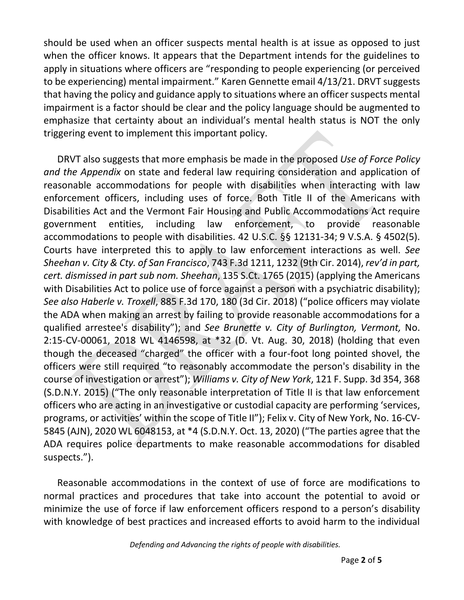should be used when an officer suspects mental health is at issue as opposed to just when the officer knows. It appears that the Department intends for the guidelines to apply in situations where officers are "responding to people experiencing (or perceived to be experiencing) mental impairment." Karen Gennette email 4/13/21. DRVT suggests that having the policy and guidance apply to situations where an officer suspects mental impairment is a factor should be clear and the policy language should be augmented to emphasize that certainty about an individual's mental health status is NOT the only triggering event to implement this important policy.

DRVT also suggests that more emphasis be made in the proposed *Use of Force Policy and the Appendix* on state and federal law requiring consideration and application of reasonable accommodations for people with disabilities when interacting with law enforcement officers, including uses of force. Both Title II of the Americans with Disabilities Act and the Vermont Fair Housing and Public Accommodations Act require government entities, including law enforcement, to provide reasonable accommodations to people with disabilities. 42 U.S.C. §§ 12131-34; 9 V.S.A. § 4502(5). Courts have interpreted this to apply to law enforcement interactions as well. *See Sheehan v. City & Cty. of San Francisco*, 743 F.3d 1211, 1232 (9th Cir. 2014), *rev'd in part, cert. dismissed in part sub nom. Sheehan*, 135 S.Ct. 1765 (2015) (applying the Americans with Disabilities Act to police use of force against a person with a psychiatric disability); *See also Haberle v. Troxell*, 885 F.3d 170, 180 (3d Cir. 2018) ("police officers may violate the ADA when making an arrest by failing to provide reasonable accommodations for a qualified arrestee's disability"); and *See Brunette v. City of Burlington, Vermont,* No. 2:15-CV-00061, 2018 WL 4146598, at \*32 (D. Vt. Aug. 30, 2018) (holding that even though the deceased "charged" the officer with a four-foot long pointed shovel, the officers were still required "to reasonably accommodate the person's disability in the course of investigation or arrest"); *Williams v. City of New York*, 121 F. Supp. 3d 354, 368 (S.D.N.Y. 2015) ("The only reasonable interpretation of Title II is that law enforcement officers who are acting in an investigative or custodial capacity are performing 'services, programs, or activities' within the scope of Title II"); Felix v. City of New York, No. 16-CV-5845 (AJN), 2020 WL 6048153, at \*4 (S.D.N.Y. Oct. 13, 2020) ("The parties agree that the ADA requires police departments to make reasonable accommodations for disabled suspects.").

Reasonable accommodations in the context of use of force are modifications to normal practices and procedures that take into account the potential to avoid or minimize the use of force if law enforcement officers respond to a person's disability with knowledge of best practices and increased efforts to avoid harm to the individual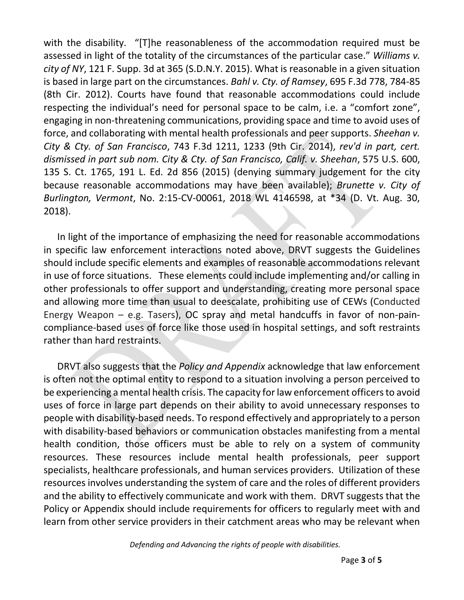with the disability. "[T]he reasonableness of the accommodation required must be assessed in light of the totality of the circumstances of the particular case." *Williams v. city of NY*, 121 F. Supp. 3d at 365 (S.D.N.Y. 2015). What is reasonable in a given situation is based in large part on the circumstances. *Bahl v. Cty. of Ramsey*, 695 F.3d 778, 784-85 (8th Cir. 2012). Courts have found that reasonable accommodations could include respecting the individual's need for personal space to be calm, i.e. a "comfort zone", engaging in non-threatening communications, providing space and time to avoid uses of force, and collaborating with mental health professionals and peer supports. *Sheehan v. City & Cty. of San Francisco*, 743 F.3d 1211, 1233 (9th Cir. 2014), *rev'd in part, cert. dismissed in part sub nom. City & Cty. of San Francisco, Calif. v. Sheehan*, 575 U.S. 600, 135 S. Ct. 1765, 191 L. Ed. 2d 856 (2015) (denying summary judgement for the city because reasonable accommodations may have been available); *Brunette v. City of Burlington, Vermont*, No. 2:15-CV-00061, 2018 WL 4146598, at \*34 (D. Vt. Aug. 30, 2018).

In light of the importance of emphasizing the need for reasonable accommodations in specific law enforcement interactions noted above, DRVT suggests the Guidelines should include specific elements and examples of reasonable accommodations relevant in use of force situations. These elements could include implementing and/or calling in other professionals to offer support and understanding, creating more personal space and allowing more time than usual to deescalate, prohibiting use of CEWs (Conducted Energy Weapon – e.g. Tasers), OC spray and metal handcuffs in favor of non-paincompliance-based uses of force like those used in hospital settings, and soft restraints rather than hard restraints.

DRVT also suggests that the *Policy and Appendix* acknowledge that law enforcement is often not the optimal entity to respond to a situation involving a person perceived to be experiencing a mental health crisis. The capacity for law enforcement officers to avoid uses of force in large part depends on their ability to avoid unnecessary responses to people with disability-based needs. To respond effectively and appropriately to a person with disability-based behaviors or communication obstacles manifesting from a mental health condition, those officers must be able to rely on a system of community resources. These resources include mental health professionals, peer support specialists, healthcare professionals, and human services providers. Utilization of these resources involves understanding the system of care and the roles of different providers and the ability to effectively communicate and work with them. DRVT suggests that the Policy or Appendix should include requirements for officers to regularly meet with and learn from other service providers in their catchment areas who may be relevant when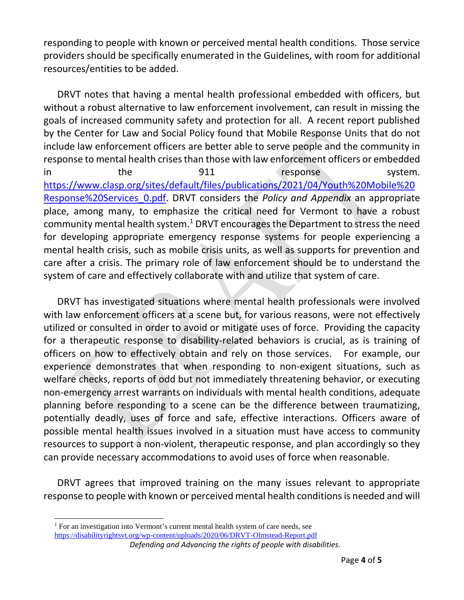responding to people with known or perceived mental health conditions. Those service providers should be specifically enumerated in the Guidelines, with room for additional resources/entities to be added.

DRVT notes that having a mental health professional embedded with officers, but without a robust alternative to law enforcement involvement, can result in missing the goals of increased community safety and protection for all. A recent report published by the Center for Law and Social Policy found that Mobile Response Units that do not include law enforcement officers are better able to serve people and the community in response to mental health crises than those with law enforcement officers or embedded in the 911 response system. [https://www.clasp.org/sites/default/files/publications/2021/04/Youth%20Mobile%20](https://www.clasp.org/sites/default/files/publications/2021/04/Youth%20Mobile%20Response%20Services_0.pdf) [Response%20Services\\_0.pdf.](https://www.clasp.org/sites/default/files/publications/2021/04/Youth%20Mobile%20Response%20Services_0.pdf) DRVT considers the *Policy and Appendix* an appropriate place, among many, to emphasize the critical need for Vermont to have a robust community mental health system.<sup>1</sup> DRVT encourages the Department to stress the need for developing appropriate emergency response systems for people experiencing a mental health crisis, such as mobile crisis units, as well as supports for prevention and care after a crisis. The primary role of law enforcement should be to understand the system of care and effectively collaborate with and utilize that system of care.

DRVT has investigated situations where mental health professionals were involved with law enforcement officers at a scene but, for various reasons, were not effectively utilized or consulted in order to avoid or mitigate uses of force. Providing the capacity for a therapeutic response to disability-related behaviors is crucial, as is training of officers on how to effectively obtain and rely on those services. For example, our experience demonstrates that when responding to non-exigent situations, such as welfare checks, reports of odd but not immediately threatening behavior, or executing non-emergency arrest warrants on individuals with mental health conditions, adequate planning before responding to a scene can be the difference between traumatizing, potentially deadly, uses of force and safe, effective interactions. Officers aware of possible mental health issues involved in a situation must have access to community resources to support a non-violent, therapeutic response, and plan accordingly so they can provide necessary accommodations to avoid uses of force when reasonable.

DRVT agrees that improved training on the many issues relevant to appropriate response to people with known or perceived mental health conditions is needed and will

 $\overline{a}$ 

<https://disabilityrightsvt.org/wp-content/uploads/2020/06/DRVT-Olmstead-Report.pdf>

<sup>&</sup>lt;sup>1</sup> For an investigation into Vermont's current mental health system of care needs, see